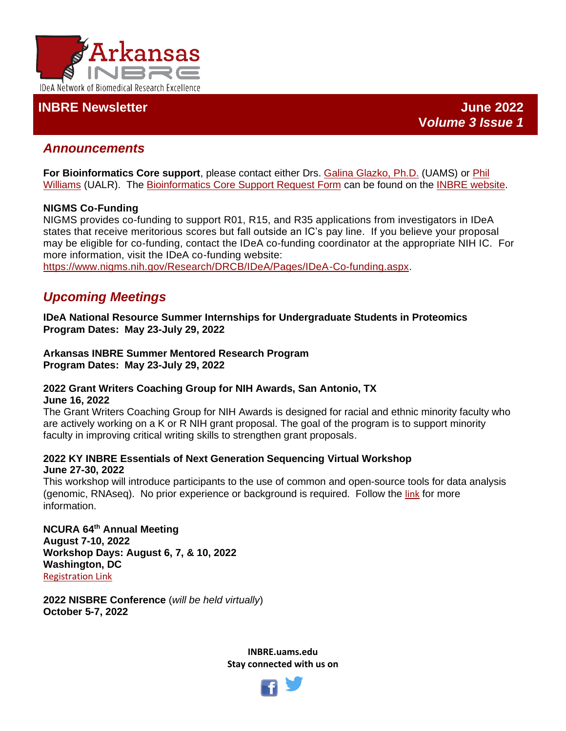

# **INBRE Newsletter June 2022**

# *Announcements*

**For Bioinformatics Core support**, please contact either Drs. [Galina Glazko, Ph.D.](mailto:GVGlazko@uams.edeu) (UAMS) or [Phil](mailto:phwilliams@ualr.edu)  [Williams](mailto:phwilliams@ualr.edu) (UALR). The [Bioinformatics Core Support Request Form](http://dbmi.uams.edu/inbre/bioinformatics-core-support-request-form/) can be found on the [INBRE website.](https://inbre.uams.edu/cores/bioinformatics/)

### **NIGMS Co-Funding**

NIGMS provides co-funding to support R01, R15, and R35 applications from investigators in IDeA states that receive meritorious scores but fall outside an IC's pay line. If you believe your proposal may be eligible for co-funding, contact the IDeA co-funding coordinator at the appropriate NIH IC. For more information, visit the IDeA co-funding website:

[https://www.nigms.nih.gov/Research/DRCB/IDeA/Pages/IDeA-Co-funding.aspx.](https://www.nigms.nih.gov/Research/DRCB/IDeA/Pages/IDeA-Co-funding.aspx)

# *Upcoming Meetings*

**IDeA National Resource Summer Internships for Undergraduate Students in Proteomics Program Dates: May 23-July 29, 2022**

**Arkansas INBRE Summer Mentored Research Program Program Dates: May 23-July 29, 2022**

#### **2022 Grant Writers Coaching Group for NIH Awards, San Antonio, TX June 16, 2022**

The Grant Writers Coaching Group for NIH Awards is designed for racial and ethnic minority faculty who are actively working on a K or R NIH grant proposal. The goal of the program is to support minority faculty in improving critical writing skills to strengthen grant proposals.

#### **2022 KY INBRE Essentials of Next Generation Sequencing Virtual Workshop June 27-30, 2022**

This workshop will introduce participants to the use of common and open-source tools for data analysis (genomic, RNAseq). No prior experience or background is required. Follow the [link](https://louisville.edu/research/kbrin/kbrin-cores/genomics-core/ky-inbre-essentials-of-next-generation-sequencing-workshop-2022) for more information.

**NCURA 64th Annual Meeting August 7-10, 2022 Workshop Days: August 6, 7, & 10, 2022 Washington, DC** [Registration Link](https://www.ncura.edu/annualmeeting/Home.aspx)

**2022 NISBRE Conference** (*will be held virtually*) **October 5-7, 2022**

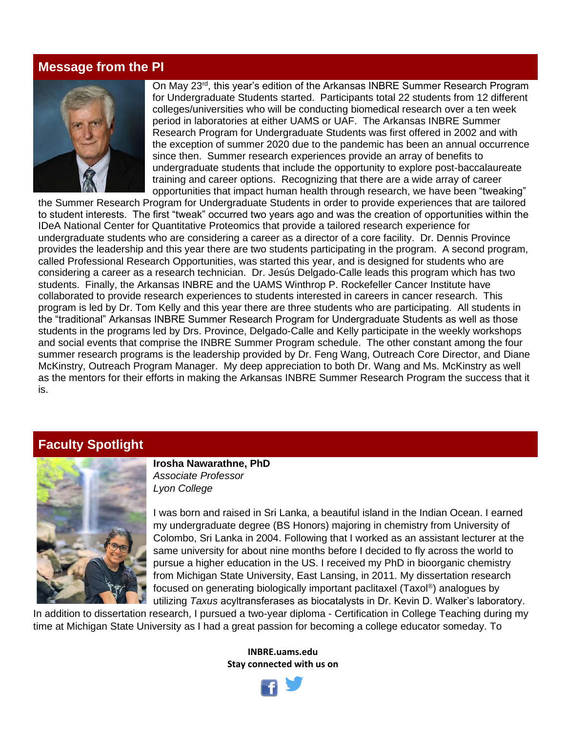## **Message from the PI**



On May 23<sup>rd</sup>, this year's edition of the Arkansas INBRE Summer Research Program for Undergraduate Students started. Participants total 22 students from 12 different colleges/universities who will be conducting biomedical research over a ten week period in laboratories at either UAMS or UAF. The Arkansas INBRE Summer Research Program for Undergraduate Students was first offered in 2002 and with the exception of summer 2020 due to the pandemic has been an annual occurrence since then. Summer research experiences provide an array of benefits to undergraduate students that include the opportunity to explore post-baccalaureate training and career options. Recognizing that there are a wide array of career opportunities that impact human health through research, we have been "tweaking"

the Summer Research Program for Undergraduate Students in order to provide experiences that are tailored to student interests. The first "tweak" occurred two years ago and was the creation of opportunities within the IDeA National Center for Quantitative Proteomics that provide a tailored research experience for undergraduate students who are considering a career as a director of a core facility. Dr. Dennis Province provides the leadership and this year there are two students participating in the program. A second program, called Professional Research Opportunities, was started this year, and is designed for students who are considering a career as a research technician. Dr. Jesús Delgado-Calle leads this program which has two students. Finally, the Arkansas INBRE and the UAMS Winthrop P. Rockefeller Cancer Institute have collaborated to provide research experiences to students interested in careers in cancer research. This program is led by Dr. Tom Kelly and this year there are three students who are participating. All students in the "traditional" Arkansas INBRE Summer Research Program for Undergraduate Students as well as those students in the programs led by Drs. Province, Delgado-Calle and Kelly participate in the weekly workshops and social events that comprise the INBRE Summer Program schedule. The other constant among the four summer research programs is the leadership provided by Dr. Feng Wang, Outreach Core Director, and Diane McKinstry, Outreach Program Manager. My deep appreciation to both Dr. Wang and Ms. McKinstry as well as the mentors for their efforts in making the Arkansas INBRE Summer Research Program the success that it is.

## **Faculty Spotlight**



**Irosha Nawarathne, PhD** *Associate Professor Lyon College*

I was born and raised in Sri Lanka, a beautiful island in the Indian Ocean. I earned my undergraduate degree (BS Honors) majoring in chemistry from University of Colombo, Sri Lanka in 2004. Following that I worked as an assistant lecturer at the same university for about nine months before I decided to fly across the world to pursue a higher education in the US. I received my PhD in bioorganic chemistry from Michigan State University, East Lansing, in 2011. My dissertation research focused on generating biologically important paclitaxel (Taxol® ) analogues by utilizing *Taxus* acyltransferases as biocatalysts in Dr. Kevin D. Walker's laboratory.

In addition to dissertation research, I pursued a two-year diploma - Certification in College Teaching during my time at Michigan State University as I had a great passion for becoming a college educator someday. To

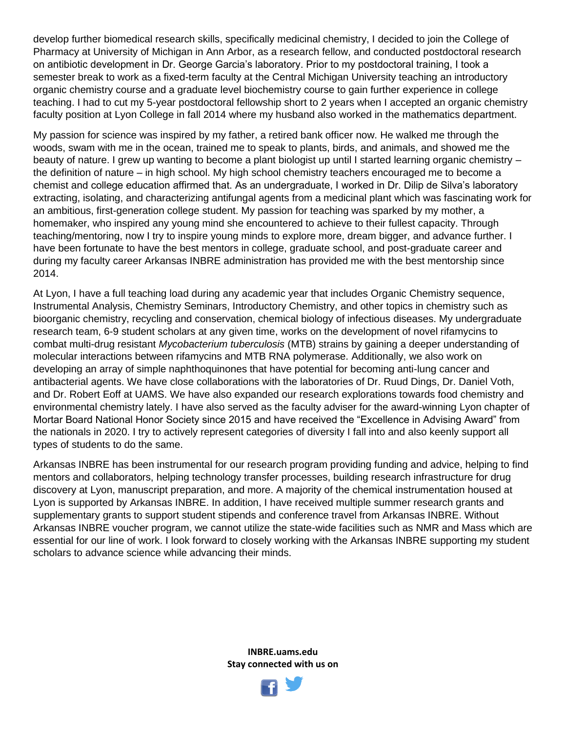develop further biomedical research skills, specifically medicinal chemistry, I decided to join the College of Pharmacy at University of Michigan in Ann Arbor, as a research fellow, and conducted postdoctoral research on antibiotic development in Dr. George Garcia's laboratory. Prior to my postdoctoral training, I took a semester break to work as a fixed-term faculty at the Central Michigan University teaching an introductory organic chemistry course and a graduate level biochemistry course to gain further experience in college teaching. I had to cut my 5-year postdoctoral fellowship short to 2 years when I accepted an organic chemistry faculty position at Lyon College in fall 2014 where my husband also worked in the mathematics department.

My passion for science was inspired by my father, a retired bank officer now. He walked me through the woods, swam with me in the ocean, trained me to speak to plants, birds, and animals, and showed me the beauty of nature. I grew up wanting to become a plant biologist up until I started learning organic chemistry – the definition of nature – in high school. My high school chemistry teachers encouraged me to become a chemist and college education affirmed that. As an undergraduate, I worked in Dr. Dilip de Silva's laboratory extracting, isolating, and characterizing antifungal agents from a medicinal plant which was fascinating work for an ambitious, first-generation college student. My passion for teaching was sparked by my mother, a homemaker, who inspired any young mind she encountered to achieve to their fullest capacity. Through teaching/mentoring, now I try to inspire young minds to explore more, dream bigger, and advance further. I have been fortunate to have the best mentors in college, graduate school, and post-graduate career and during my faculty career Arkansas INBRE administration has provided me with the best mentorship since 2014.

At Lyon, I have a full teaching load during any academic year that includes Organic Chemistry sequence, Instrumental Analysis, Chemistry Seminars, Introductory Chemistry, and other topics in chemistry such as bioorganic chemistry, recycling and conservation, chemical biology of infectious diseases. My undergraduate research team, 6-9 student scholars at any given time, works on the development of novel rifamycins to combat multi-drug resistant *Mycobacterium tuberculosis* (MTB) strains by gaining a deeper understanding of molecular interactions between rifamycins and MTB RNA polymerase. Additionally, we also work on developing an array of simple naphthoquinones that have potential for becoming anti-lung cancer and antibacterial agents. We have close collaborations with the laboratories of Dr. Ruud Dings, Dr. Daniel Voth, and Dr. Robert Eoff at UAMS. We have also expanded our research explorations towards food chemistry and environmental chemistry lately. I have also served as the faculty adviser for the award-winning Lyon chapter of Mortar Board National Honor Society since 2015 and have received the "Excellence in Advising Award" from the nationals in 2020. I try to actively represent categories of diversity I fall into and also keenly support all types of students to do the same.

Arkansas INBRE has been instrumental for our research program providing funding and advice, helping to find mentors and collaborators, helping technology transfer processes, building research infrastructure for drug discovery at Lyon, manuscript preparation, and more. A majority of the chemical instrumentation housed at Lyon is supported by Arkansas INBRE. In addition, I have received multiple summer research grants and supplementary grants to support student stipends and conference travel from Arkansas INBRE. Without Arkansas INBRE voucher program, we cannot utilize the state-wide facilities such as NMR and Mass which are essential for our line of work. I look forward to closely working with the Arkansas INBRE supporting my student scholars to advance science while advancing their minds.

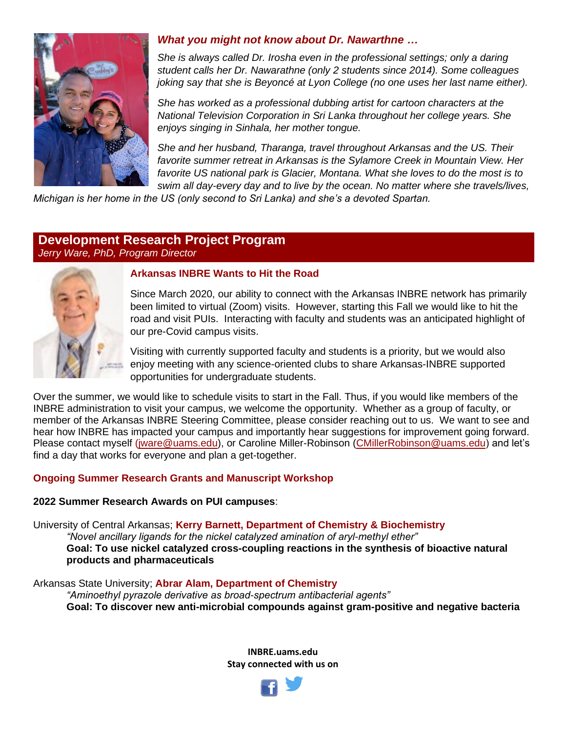

# *What you might not know about Dr. Nawarthne …*

*She is always called Dr. Irosha even in the professional settings; only a daring student calls her Dr. Nawarathne (only 2 students since 2014). Some colleagues joking say that she is Beyoncé at Lyon College (no one uses her last name either).* 

*She has worked as a professional dubbing artist for cartoon characters at the National Television Corporation in Sri Lanka throughout her college years. She enjoys singing in Sinhala, her mother tongue.* 

*She and her husband, Tharanga, travel throughout Arkansas and the US. Their favorite summer retreat in Arkansas is the Sylamore Creek in Mountain View. Her*  favorite US national park is Glacier, Montana. What she loves to do the most is to *swim all day-every day and to live by the ocean. No matter where she travels/lives,* 

*Michigan is her home in the US (only second to Sri Lanka) and she's a devoted Spartan.*

## **Development Research Project Program** *Jerry Ware, PhD, Program Director*



#### **Arkansas INBRE Wants to Hit the Road**

Since March 2020, our ability to connect with the Arkansas INBRE network has primarily been limited to virtual (Zoom) visits. However, starting this Fall we would like to hit the road and visit PUIs. Interacting with faculty and students was an anticipated highlight of our pre-Covid campus visits.

Visiting with currently supported faculty and students is a priority, but we would also enjoy meeting with any science-oriented clubs to share Arkansas-INBRE supported opportunities for undergraduate students.

Over the summer, we would like to schedule visits to start in the Fall. Thus, if you would like members of the INBRE administration to visit your campus, we welcome the opportunity. Whether as a group of faculty, or member of the Arkansas INBRE Steering Committee, please consider reaching out to us. We want to see and hear how INBRE has impacted your campus and importantly hear suggestions for improvement going forward. Please contact myself [\(jware@uams.edu\)](mailto:jware@uams.edu), or Caroline Miller-Robinson [\(CMillerRobinson@uams.edu\)](mailto:CMillerRobinson@uams.edu) and let's find a day that works for everyone and plan a get-together.

#### **Ongoing Summer Research Grants and Manuscript Workshop**

#### **2022 Summer Research Awards on PUI campuses**:

University of Central Arkansas; **Kerry Barnett, Department of Chemistry & Biochemistry** *"Novel ancillary ligands for the nickel catalyzed amination of aryl-methyl ether"* **Goal: To use nickel catalyzed cross-coupling reactions in the synthesis of bioactive natural products and pharmaceuticals**

Arkansas State University; **Abrar Alam, Department of Chemistry** *"Aminoethyl pyrazole derivative as broad-spectrum antibacterial agents"* **Goal: To discover new anti-microbial compounds against gram-positive and negative bacteria**

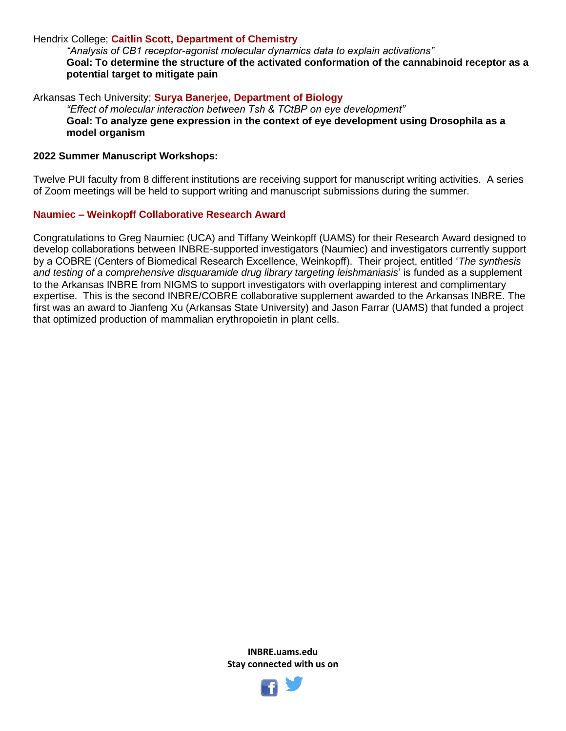#### Hendrix College; **Caitlin Scott, Department of Chemistry**

*"Analysis of CB1 receptor-agonist molecular dynamics data to explain activations"* **Goal: To determine the structure of the activated conformation of the cannabinoid receptor as a potential target to mitigate pain**

Arkansas Tech University; **Surya Banerjee, Department of Biology** *"Effect of molecular interaction between Tsh & TCtBP on eye development"* **Goal: To analyze gene expression in the context of eye development using Drosophila as a model organism**

#### **2022 Summer Manuscript Workshops:**

Twelve PUI faculty from 8 different institutions are receiving support for manuscript writing activities. A series of Zoom meetings will be held to support writing and manuscript submissions during the summer.

#### **Naumiec – Weinkopff Collaborative Research Award**

Congratulations to Greg Naumiec (UCA) and Tiffany Weinkopff (UAMS) for their Research Award designed to develop collaborations between INBRE-supported investigators (Naumiec) and investigators currently support by a COBRE (Centers of Biomedical Research Excellence, Weinkopff). Their project, entitled '*The synthesis and testing of a comprehensive disquaramide drug library targeting leishmaniasis*' is funded as a supplement to the Arkansas INBRE from NIGMS to support investigators with overlapping interest and complimentary expertise. This is the second INBRE/COBRE collaborative supplement awarded to the Arkansas INBRE. The first was an award to Jianfeng Xu (Arkansas State University) and Jason Farrar (UAMS) that funded a project that optimized production of mammalian erythropoietin in plant cells.

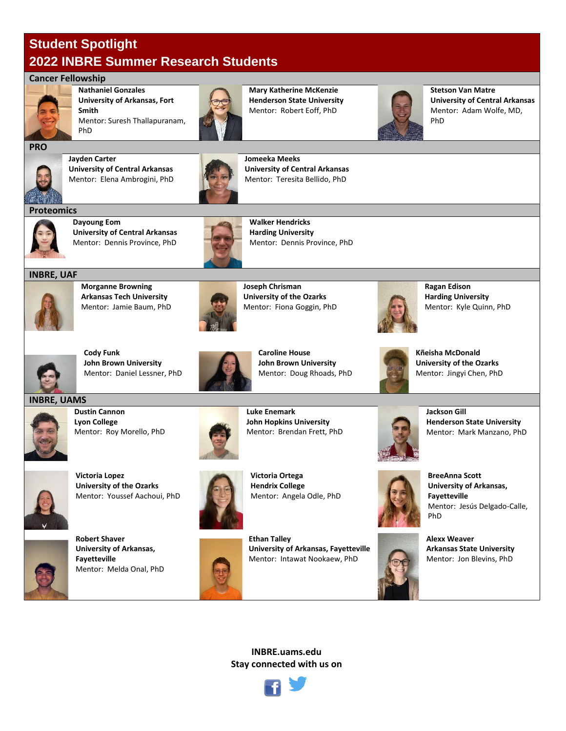# **Student Spotlight 2022 INBRE Summer Research Students**

#### **Cancer Fellowship**

PhD



**Nathaniel Gonzales University of Arkansas, Fort Smith** Mentor: Suresh Thallapuranam,



**Mary Katherine McKenzie Henderson State University** Mentor: Robert Eoff, PhD



**Stetson Van Matre University of Central Arkansas** Mentor: Adam Wolfe, MD, PhD



**Jayden Carter University of Central Arkansas** Mentor: Elena Ambrogini, PhD



**Jomeeka Meeks University of Central Arkansas** Mentor: Teresita Bellido, PhD



**Dayoung Eom University of Central Arkansas** Mentor: Dennis Province, PhD



**Walker Hendricks Harding University** Mentor: Dennis Province, PhD





**Morganne Browning Arkansas Tech University** Mentor: Jamie Baum, PhD



**Joseph Chrisman University of the Ozarks** Mentor: Fiona Goggin, PhD



**Ragan Edison Harding University** Mentor: Kyle Quinn, PhD



**Cody Funk John Brown University** Mentor: Daniel Lessner, PhD



**Caroline House John Brown University** Mentor: Doug Rhoads, PhD



**Kñeisha McDonald University of the Ozarks** Mentor: Jingyi Chen, PhD

#### **INBRE, UAMS**



**Dustin Cannon Lyon College** Mentor: Roy Morello, PhD



**Victoria Lopez University of the Ozarks** Mentor: Youssef Aachoui, PhD



**Robert Shaver University of Arkansas, Fayetteville** Mentor: Melda Onal, PhD



**Victoria Ortega Hendrix College** Mentor: Angela Odle, PhD

**Luke Enemark**

**John Hopkins University** Mentor: Brendan Frett, PhD

**Ethan Talley University of Arkansas, Fayetteville** Mentor: Intawat Nookaew, PhD



**Jackson Gill Henderson State University** Mentor: Mark Manzano, PhD



**BreeAnna Scott University of Arkansas, Fayetteville** Mentor: Jesús Delgado-Calle, PhD

**Alexx Weaver Arkansas State University** Mentor: Jon Blevins, PhD



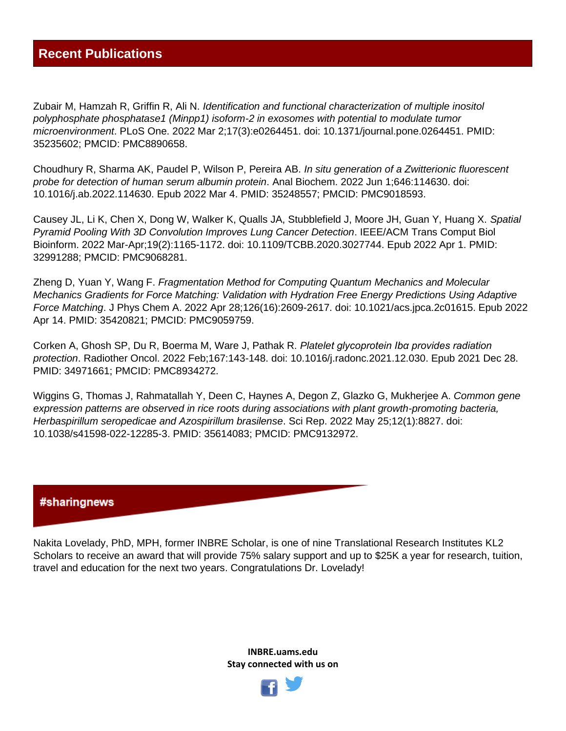Zubair M, Hamzah R, Griffin R, Ali N. *Identification and functional characterization of multiple inositol polyphosphate phosphatase1 (Minpp1) isoform-2 in exosomes with potential to modulate tumor microenvironment*. PLoS One. 2022 Mar 2;17(3):e0264451. doi: 10.1371/journal.pone.0264451. PMID: 35235602; PMCID: PMC8890658.

Choudhury R, Sharma AK, Paudel P, Wilson P, Pereira AB. *In situ generation of a Zwitterionic fluorescent probe for detection of human serum albumin protein*. Anal Biochem. 2022 Jun 1;646:114630. doi: 10.1016/j.ab.2022.114630. Epub 2022 Mar 4. PMID: 35248557; PMCID: PMC9018593.

Causey JL, Li K, Chen X, Dong W, Walker K, Qualls JA, Stubblefield J, Moore JH, Guan Y, Huang X. *Spatial Pyramid Pooling With 3D Convolution Improves Lung Cancer Detection*. IEEE/ACM Trans Comput Biol Bioinform. 2022 Mar-Apr;19(2):1165-1172. doi: 10.1109/TCBB.2020.3027744. Epub 2022 Apr 1. PMID: 32991288; PMCID: PMC9068281.

Zheng D, Yuan Y, Wang F. *Fragmentation Method for Computing Quantum Mechanics and Molecular Mechanics Gradients for Force Matching: Validation with Hydration Free Energy Predictions Using Adaptive Force Matching*. J Phys Chem A. 2022 Apr 28;126(16):2609-2617. doi: 10.1021/acs.jpca.2c01615. Epub 2022 Apr 14. PMID: 35420821; PMCID: PMC9059759.

Corken A, Ghosh SP, Du R, Boerma M, Ware J, Pathak R. *Platelet glycoprotein Ibα provides radiation protection*. Radiother Oncol. 2022 Feb;167:143-148. doi: 10.1016/j.radonc.2021.12.030. Epub 2021 Dec 28. PMID: 34971661; PMCID: PMC8934272.

Wiggins G, Thomas J, Rahmatallah Y, Deen C, Haynes A, Degon Z, Glazko G, Mukherjee A. *Common gene expression patterns are observed in rice roots during associations with plant growth-promoting bacteria, Herbaspirillum seropedicae and Azospirillum brasilense*. Sci Rep. 2022 May 25;12(1):8827. doi: 10.1038/s41598-022-12285-3. PMID: 35614083; PMCID: PMC9132972.

## #sharingnews

Nakita Lovelady, PhD, MPH, former INBRE Scholar, is one of nine Translational Research Institutes KL2 Scholars to receive an award that will provide 75% salary support and up to \$25K a year for research, tuition, travel and education for the next two years. Congratulations Dr. Lovelady!